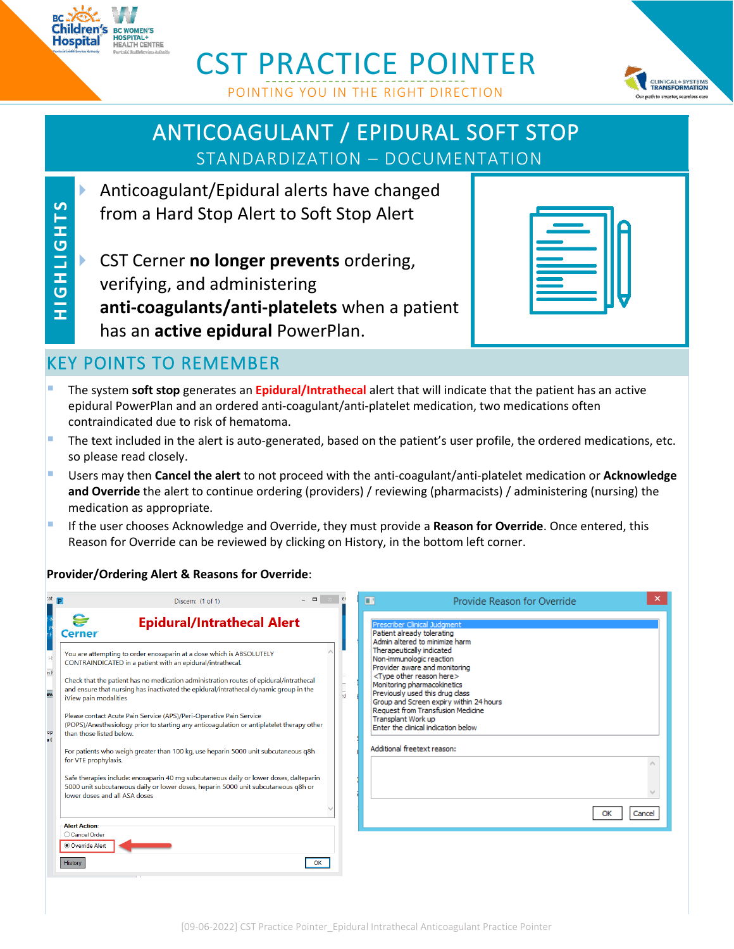

**H I G H L I G H T S**

**SLHDITHOLL** 

# CST PRACTICE POINTER POINTING YOU IN THE RIGHT DIRECTION



# ANTICOAGULANT / EPIDURAL SOFT STOP STANDARDIZATION – DOCUMENTATION

- Anticoagulant/Epidural alerts have changed from a Hard Stop Alert to Soft Stop Alert
- CST Cerner **no longer prevents** ordering, verifying, and administering **anti-coagulants/anti-platelets** when a patient has an **active epidural** PowerPlan.

## KEY POINTS TO REMEMBER

- The system **soft stop** generates an **Epidural/Intrathecal** alert that will indicate that the patient has an active epidural PowerPlan and an ordered anti-coagulant/anti-platelet medication, two medications often contraindicated due to risk of hematoma.
- The text included in the alert is auto-generated, based on the patient's user profile, the ordered medications, etc. so please read closely.
- Users may then **Cancel the alert** to not proceed with the anti-coagulant/anti-platelet medication or **Acknowledge and Override** the alert to continue ordering (providers) / reviewing (pharmacists) / administering (nursing) the medication as appropriate.
- If the user chooses Acknowledge and Override, they must provide a **Reason for Override**. Once entered, this Reason for Override can be reviewed by clicking on History, in the bottom left corner.

### **Provider/Ordering Alert & Reasons for Override**:

| :at                  | P<br>Discern: (1 of 1)                                                                                                                                                                                        | $\qquad \qquad \Box$<br>er. | ×<br>п<br>Provide Reason for Override                                                                                                                    |
|----------------------|---------------------------------------------------------------------------------------------------------------------------------------------------------------------------------------------------------------|-----------------------------|----------------------------------------------------------------------------------------------------------------------------------------------------------|
|                      | <b>Epidural/Intrathecal Alert</b><br>Cerner                                                                                                                                                                   |                             | Prescriber Clinical Judgment<br>Patient already tolerating<br>Admin altered to minimize harm                                                             |
| n F                  | You are attempting to order enoxaparin at a dose which is ABSOLUTELY<br>CONTRAINDICATED in a patient with an epidural/intrathecal.                                                                            |                             | Therapeutically indicated<br>Non-immunologic reaction<br>Provider aware and monitoring                                                                   |
| ew                   | Check that the patient has no medication administration routes of epidural/intrathecal<br>and ensure that nursing has inactivated the epidural/intrathecal dynamic group in the<br>iView pain modalities      | $\frac{1}{d}$               | <type here="" other="" reason=""><br/>Monitoring pharmacokinetics<br/>Previously used this drug class<br/>Group and Screen expiry within 24 hours</type> |
| op<br>$\overline{a}$ | Please contact Acute Pain Service (APS)/Peri-Operative Pain Service<br>(POPS)/Anesthesiology prior to starting any anticoagulation or antiplatelet therapy other<br>than those listed below.                  |                             | Request from Transfusion Medicine<br>Transplant Work up<br>Enter the clinical indication below                                                           |
|                      | For patients who weigh greater than 100 kg, use heparin 5000 unit subcutaneous g8h<br>for VTE prophylaxis.                                                                                                    |                             | Additional freetext reason:                                                                                                                              |
|                      | Safe therapies include: enoxaparin 40 mg subcutaneous daily or lower doses, dalteparin<br>5000 unit subcutaneous daily or lower doses, heparin 5000 unit subcutaneous q8h or<br>lower doses and all ASA doses |                             |                                                                                                                                                          |
|                      | <b>Alert Action:</b>                                                                                                                                                                                          |                             | OK<br>Cancel                                                                                                                                             |
|                      | ○ Cancel Order<br>Override Alert                                                                                                                                                                              |                             |                                                                                                                                                          |
|                      | History                                                                                                                                                                                                       | OK                          |                                                                                                                                                          |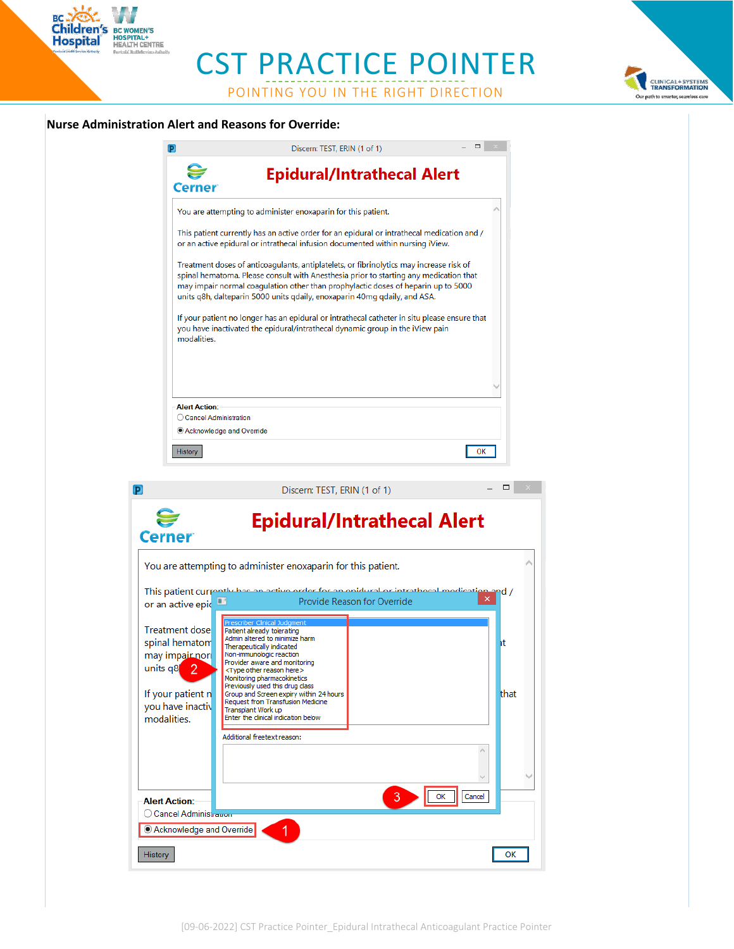CST PRACTICE POINTER

POINTING YOU IN THE RIGHT DIRECTION

#### **Nurse Administration Alert and Reasons for Override:**

History

BC-XX-<br>Children's BC WOMEN'S<br>Hospital HEALTH CENTRE

|                                                 | ▭<br>Discern: TEST, ERIN (1 of 1)                                                                                                                                                                                                                                                                                                                  |       |
|-------------------------------------------------|----------------------------------------------------------------------------------------------------------------------------------------------------------------------------------------------------------------------------------------------------------------------------------------------------------------------------------------------------|-------|
|                                                 | Epidural/Intrathecal Alert                                                                                                                                                                                                                                                                                                                         |       |
|                                                 | You are attempting to administer enoxaparin for this patient.                                                                                                                                                                                                                                                                                      |       |
|                                                 | This patient currently has an active order for an epidural or intrathecal medication and /<br>or an active epidural or intrathecal infusion documented within nursing iView.                                                                                                                                                                       |       |
|                                                 | Treatment doses of anticoagulants, antiplatelets, or fibrinolytics may increase risk of<br>spinal hematoma. Please consult with Anesthesia prior to starting any medication that<br>may impair normal coagulation other than prophylactic doses of heparin up to 5000<br>units q8h, dalteparin 5000 units qdaily, enoxaparin 40mg qdaily, and ASA. |       |
| modalities.                                     | If your patient no longer has an epidural or intrathecal catheter in situ please ensure that<br>you have inactivated the epidural/intrathecal dynamic group in the iView pain                                                                                                                                                                      |       |
|                                                 |                                                                                                                                                                                                                                                                                                                                                    |       |
| <b>Alert Action:</b>                            |                                                                                                                                                                                                                                                                                                                                                    |       |
|                                                 | ◯ Cancel Administration<br>Acknowledge and Override                                                                                                                                                                                                                                                                                                |       |
|                                                 |                                                                                                                                                                                                                                                                                                                                                    |       |
| History                                         | OK                                                                                                                                                                                                                                                                                                                                                 |       |
|                                                 |                                                                                                                                                                                                                                                                                                                                                    |       |
|                                                 |                                                                                                                                                                                                                                                                                                                                                    |       |
|                                                 | Discern: TEST, ERIN (1 of 1)                                                                                                                                                                                                                                                                                                                       | □     |
| Cerner                                          | <b>Epidural/Intrathecal Alert</b>                                                                                                                                                                                                                                                                                                                  |       |
|                                                 | You are attempting to administer enoxaparin for this patient.                                                                                                                                                                                                                                                                                      |       |
|                                                 | This patient currently has an active order for an enidural or intrathecal modication                                                                                                                                                                                                                                                               | and / |
| or an active epic                               | Provide Reason for Override                                                                                                                                                                                                                                                                                                                        |       |
| <b>Treatment dose</b>                           | Prescriber Clinical Judgment<br>Patient already tolerating                                                                                                                                                                                                                                                                                         |       |
| spinal hematom                                  | Admin altered to minimize harm<br>Therapeutically indicated                                                                                                                                                                                                                                                                                        | ١t    |
| may impair nor                                  | Non-immunologic reaction<br>Provider aware and monitoring                                                                                                                                                                                                                                                                                          |       |
| units q8<br>2                                   | <type here="" other="" reason=""></type>                                                                                                                                                                                                                                                                                                           |       |
|                                                 | Monitoring pharmacokinetics<br>Previously used this drug class<br>Group and Screen expiry within 24 hours                                                                                                                                                                                                                                          |       |
| If your patient n<br>you have inactiv           | Request from Transfusion Medicine<br>Transplant Work up                                                                                                                                                                                                                                                                                            | that  |
| modalities.                                     | Enter the clinical indication below                                                                                                                                                                                                                                                                                                                |       |
|                                                 | Additional freetext reason:                                                                                                                                                                                                                                                                                                                        |       |
|                                                 |                                                                                                                                                                                                                                                                                                                                                    |       |
|                                                 |                                                                                                                                                                                                                                                                                                                                                    |       |
| <b>Alert Action:</b><br>○ Cancel Administration | Cancel<br>з<br>ОК                                                                                                                                                                                                                                                                                                                                  |       |



 $OK$